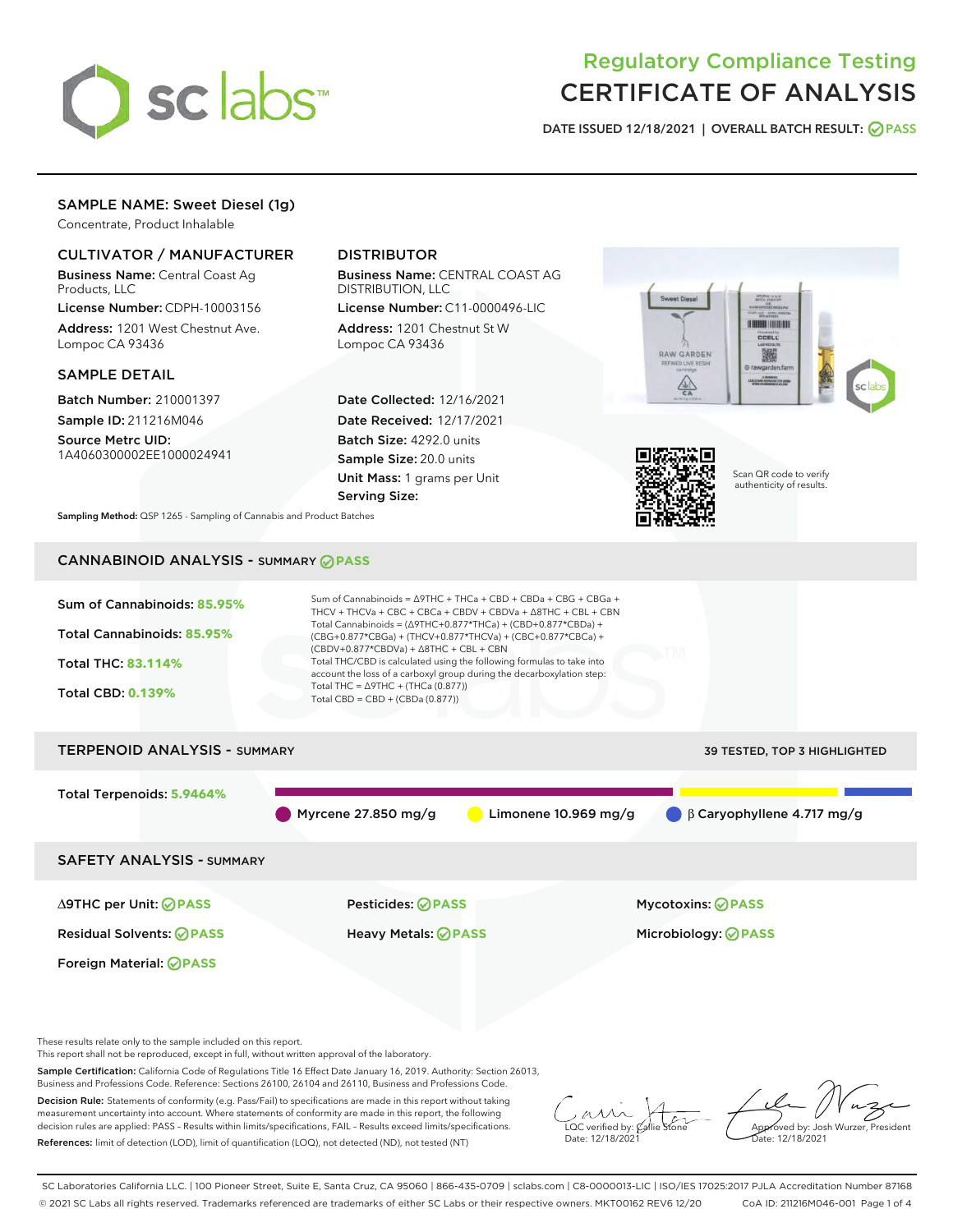

# Regulatory Compliance Testing CERTIFICATE OF ANALYSIS

DATE ISSUED 12/18/2021 | OVERALL BATCH RESULT: @ PASS

# SAMPLE NAME: Sweet Diesel (1g)

Concentrate, Product Inhalable

# CULTIVATOR / MANUFACTURER

Business Name: Central Coast Ag Products, LLC

License Number: CDPH-10003156 Address: 1201 West Chestnut Ave. Lompoc CA 93436

# SAMPLE DETAIL

Batch Number: 210001397 Sample ID: 211216M046

Source Metrc UID: 1A4060300002EE1000024941

# DISTRIBUTOR

Business Name: CENTRAL COAST AG DISTRIBUTION, LLC

License Number: C11-0000496-LIC Address: 1201 Chestnut St W Lompoc CA 93436

Date Collected: 12/16/2021 Date Received: 12/17/2021 Batch Size: 4292.0 units Sample Size: 20.0 units Unit Mass: 1 grams per Unit Serving Size:





Scan QR code to verify authenticity of results.

Sampling Method: QSP 1265 - Sampling of Cannabis and Product Batches

# CANNABINOID ANALYSIS - SUMMARY **PASS**



Sample Certification: California Code of Regulations Title 16 Effect Date January 16, 2019. Authority: Section 26013, Business and Professions Code. Reference: Sections 26100, 26104 and 26110, Business and Professions Code.

Decision Rule: Statements of conformity (e.g. Pass/Fail) to specifications are made in this report without taking measurement uncertainty into account. Where statements of conformity are made in this report, the following decision rules are applied: PASS – Results within limits/specifications, FAIL – Results exceed limits/specifications. References: limit of detection (LOD), limit of quantification (LOQ), not detected (ND), not tested (NT)

 $\overline{\text{LOC}}$  verified by:  $\mathcal{C}_i$ Date: 12/18/2021

Approved by: Josh Wurzer, President ate: 12/18/2021

SC Laboratories California LLC. | 100 Pioneer Street, Suite E, Santa Cruz, CA 95060 | 866-435-0709 | sclabs.com | C8-0000013-LIC | ISO/IES 17025:2017 PJLA Accreditation Number 87168 © 2021 SC Labs all rights reserved. Trademarks referenced are trademarks of either SC Labs or their respective owners. MKT00162 REV6 12/20 CoA ID: 211216M046-001 Page 1 of 4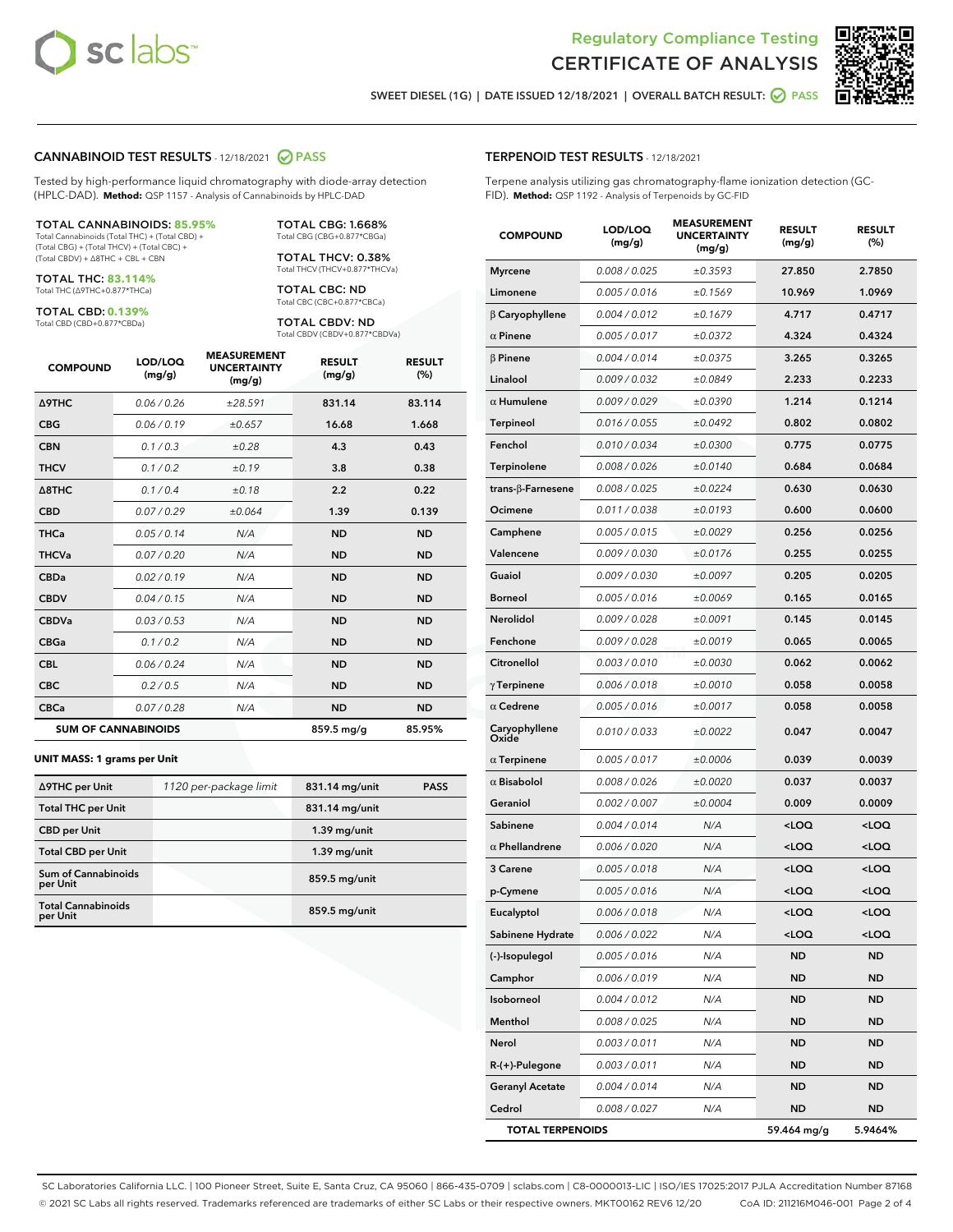



SWEET DIESEL (1G) | DATE ISSUED 12/18/2021 | OVERALL BATCH RESULT: @ PASS

## CANNABINOID TEST RESULTS - 12/18/2021 2 PASS

Tested by high-performance liquid chromatography with diode-array detection (HPLC-DAD). **Method:** QSP 1157 - Analysis of Cannabinoids by HPLC-DAD

#### TOTAL CANNABINOIDS: **85.95%**

Total Cannabinoids (Total THC) + (Total CBD) + (Total CBG) + (Total THCV) + (Total CBC) + (Total CBDV) + ∆8THC + CBL + CBN

TOTAL THC: **83.114%** Total THC (∆9THC+0.877\*THCa)

TOTAL CBD: **0.139%** Total CBD (CBD+0.877\*CBDa)

TOTAL CBG: 1.668% Total CBG (CBG+0.877\*CBGa)

TOTAL THCV: 0.38% Total THCV (THCV+0.877\*THCVa)

TOTAL CBC: ND Total CBC (CBC+0.877\*CBCa)

TOTAL CBDV: ND Total CBDV (CBDV+0.877\*CBDVa)

| <b>COMPOUND</b>            | LOD/LOQ<br>(mg/g) | <b>MEASUREMENT</b><br><b>UNCERTAINTY</b><br>(mg/g) | <b>RESULT</b><br>(mg/g) | <b>RESULT</b><br>(%) |
|----------------------------|-------------------|----------------------------------------------------|-------------------------|----------------------|
| <b>A9THC</b>               | 0.06 / 0.26       | ±28.591                                            | 831.14                  | 83.114               |
| <b>CBG</b>                 | 0.06/0.19         | ±0.657                                             | 16.68                   | 1.668                |
| <b>CBN</b>                 | 0.1 / 0.3         | ±0.28                                              | 4.3                     | 0.43                 |
| <b>THCV</b>                | 0.1/0.2           | ±0.19                                              | 3.8                     | 0.38                 |
| $\triangle$ 8THC           | 0.1/0.4           | ±0.18                                              | 2.2                     | 0.22                 |
| <b>CBD</b>                 | 0.07/0.29         | ±0.064                                             | 1.39                    | 0.139                |
| <b>THCa</b>                | 0.05/0.14         | N/A                                                | <b>ND</b>               | <b>ND</b>            |
| <b>THCVa</b>               | 0.07/0.20         | N/A                                                | <b>ND</b>               | <b>ND</b>            |
| <b>CBDa</b>                | 0.02/0.19         | N/A                                                | <b>ND</b>               | <b>ND</b>            |
| <b>CBDV</b>                | 0.04 / 0.15       | N/A                                                | <b>ND</b>               | <b>ND</b>            |
| <b>CBDVa</b>               | 0.03/0.53         | N/A                                                | <b>ND</b>               | <b>ND</b>            |
| <b>CBGa</b>                | 0.1/0.2           | N/A                                                | <b>ND</b>               | <b>ND</b>            |
| <b>CBL</b>                 | 0.06 / 0.24       | N/A                                                | <b>ND</b>               | <b>ND</b>            |
| <b>CBC</b>                 | 0.2 / 0.5         | N/A                                                | <b>ND</b>               | <b>ND</b>            |
| <b>CBCa</b>                | 0.07 / 0.28       | N/A                                                | <b>ND</b>               | <b>ND</b>            |
| <b>SUM OF CANNABINOIDS</b> |                   |                                                    | 859.5 mg/g              | 85.95%               |

#### **UNIT MASS: 1 grams per Unit**

| ∆9THC per Unit                         | 1120 per-package limit | 831.14 mg/unit | <b>PASS</b> |
|----------------------------------------|------------------------|----------------|-------------|
| <b>Total THC per Unit</b>              |                        | 831.14 mg/unit |             |
| <b>CBD</b> per Unit                    |                        | $1.39$ mg/unit |             |
| <b>Total CBD per Unit</b>              |                        | $1.39$ mg/unit |             |
| <b>Sum of Cannabinoids</b><br>per Unit |                        | 859.5 mg/unit  |             |
| <b>Total Cannabinoids</b><br>per Unit  |                        | 859.5 mg/unit  |             |

# TERPENOID TEST RESULTS - 12/18/2021

Terpene analysis utilizing gas chromatography-flame ionization detection (GC-FID). **Method:** QSP 1192 - Analysis of Terpenoids by GC-FID

| <b>COMPOUND</b>           | LOD/LOQ<br>(mg/g) | <b>MEASUREMENT</b><br><b>UNCERTAINTY</b><br>(mg/g) | <b>RESULT</b><br>(mg/g)                         | <b>RESULT</b><br>(%) |
|---------------------------|-------------------|----------------------------------------------------|-------------------------------------------------|----------------------|
| <b>Myrcene</b>            | 0.008 / 0.025     | ±0.3593                                            | 27.850                                          | 2.7850               |
| Limonene                  | 0.005 / 0.016     | ±0.1569                                            | 10.969                                          | 1.0969               |
| $\beta$ Caryophyllene     | 0.004 / 0.012     | ±0.1679                                            | 4.717                                           | 0.4717               |
| $\alpha$ Pinene           | 0.005 / 0.017     | ±0.0372                                            | 4.324                                           | 0.4324               |
| $\beta$ Pinene            | 0.004 / 0.014     | ±0.0375                                            | 3.265                                           | 0.3265               |
| Linalool                  | 0.009/0.032       | ±0.0849                                            | 2.233                                           | 0.2233               |
| $\alpha$ Humulene         | 0.009/0.029       | ±0.0390                                            | 1.214                                           | 0.1214               |
| <b>Terpineol</b>          | 0.016 / 0.055     | ±0.0492                                            | 0.802                                           | 0.0802               |
| Fenchol                   | 0.010 / 0.034     | ±0.0300                                            | 0.775                                           | 0.0775               |
| Terpinolene               | 0.008 / 0.026     | ±0.0140                                            | 0.684                                           | 0.0684               |
| trans- $\beta$ -Farnesene | 0.008 / 0.025     | ±0.0224                                            | 0.630                                           | 0.0630               |
| Ocimene                   | 0.011 / 0.038     | ±0.0193                                            | 0.600                                           | 0.0600               |
| Camphene                  | 0.005 / 0.015     | ±0.0029                                            | 0.256                                           | 0.0256               |
| Valencene                 | 0.009 / 0.030     | ±0.0176                                            | 0.255                                           | 0.0255               |
| Guaiol                    | 0.009 / 0.030     | ±0.0097                                            | 0.205                                           | 0.0205               |
| Borneol                   | 0.005 / 0.016     | ±0.0069                                            | 0.165                                           | 0.0165               |
| Nerolidol                 | 0.009 / 0.028     | ±0.0091                                            | 0.145                                           | 0.0145               |
| Fenchone                  | 0.009 / 0.028     | ±0.0019                                            | 0.065                                           | 0.0065               |
| Citronellol               | 0.003 / 0.010     | ±0.0030                                            | 0.062                                           | 0.0062               |
| $\gamma$ Terpinene        | 0.006 / 0.018     | ±0.0010                                            | 0.058                                           | 0.0058               |
| $\alpha$ Cedrene          | 0.005 / 0.016     | ±0.0017                                            | 0.058                                           | 0.0058               |
| Caryophyllene<br>Oxide    | 0.010 / 0.033     | ±0.0022                                            | 0.047                                           | 0.0047               |
| $\alpha$ Terpinene        | 0.005 / 0.017     | ±0.0006                                            | 0.039                                           | 0.0039               |
| $\alpha$ Bisabolol        | 0.008 / 0.026     | ±0.0020                                            | 0.037                                           | 0.0037               |
| Geraniol                  | 0.002 / 0.007     | ±0.0004                                            | 0.009                                           | 0.0009               |
| Sabinene                  | 0.004 / 0.014     | N/A                                                | <loq< th=""><th><loq< th=""></loq<></th></loq<> | <loq< th=""></loq<>  |
| $\alpha$ Phellandrene     | 0.006 / 0.020     | N/A                                                | <loq< th=""><th><loq< th=""></loq<></th></loq<> | <loq< th=""></loq<>  |
| 3 Carene                  | 0.005 / 0.018     | N/A                                                | <loq< th=""><th><loq< th=""></loq<></th></loq<> | <loq< th=""></loq<>  |
| p-Cymene                  | 0.005 / 0.016     | N/A                                                | <loq< th=""><th><loq< th=""></loq<></th></loq<> | <loq< th=""></loq<>  |
| Eucalyptol                | 0.006 / 0.018     | N/A                                                | <loq< th=""><th><loq< th=""></loq<></th></loq<> | <loq< th=""></loq<>  |
| Sabinene Hydrate          | 0.006 / 0.022     | N/A                                                | <loq< th=""><th><loq< th=""></loq<></th></loq<> | <loq< th=""></loq<>  |
| (-)-Isopulegol            | 0.005 / 0.016     | N/A                                                | ND                                              | ND                   |
| Camphor                   | 0.006 / 0.019     | N/A                                                | ND                                              | ND                   |
| Isoborneol                | 0.004 / 0.012     | N/A                                                | <b>ND</b>                                       | <b>ND</b>            |
| Menthol                   | 0.008 / 0.025     | N/A                                                | ND                                              | ND                   |
| Nerol                     | 0.003 / 0.011     | N/A                                                | ND                                              | ND                   |
| R-(+)-Pulegone            | 0.003 / 0.011     | N/A                                                | <b>ND</b>                                       | ND                   |
| <b>Geranyl Acetate</b>    | 0.004 / 0.014     | N/A                                                | ND                                              | ND                   |
| Cedrol                    | 0.008 / 0.027     | N/A                                                | <b>ND</b>                                       | ND                   |
| <b>TOTAL TERPENOIDS</b>   |                   |                                                    | 59.464 mg/g                                     | 5.9464%              |

SC Laboratories California LLC. | 100 Pioneer Street, Suite E, Santa Cruz, CA 95060 | 866-435-0709 | sclabs.com | C8-0000013-LIC | ISO/IES 17025:2017 PJLA Accreditation Number 87168 © 2021 SC Labs all rights reserved. Trademarks referenced are trademarks of either SC Labs or their respective owners. MKT00162 REV6 12/20 CoA ID: 211216M046-001 Page 2 of 4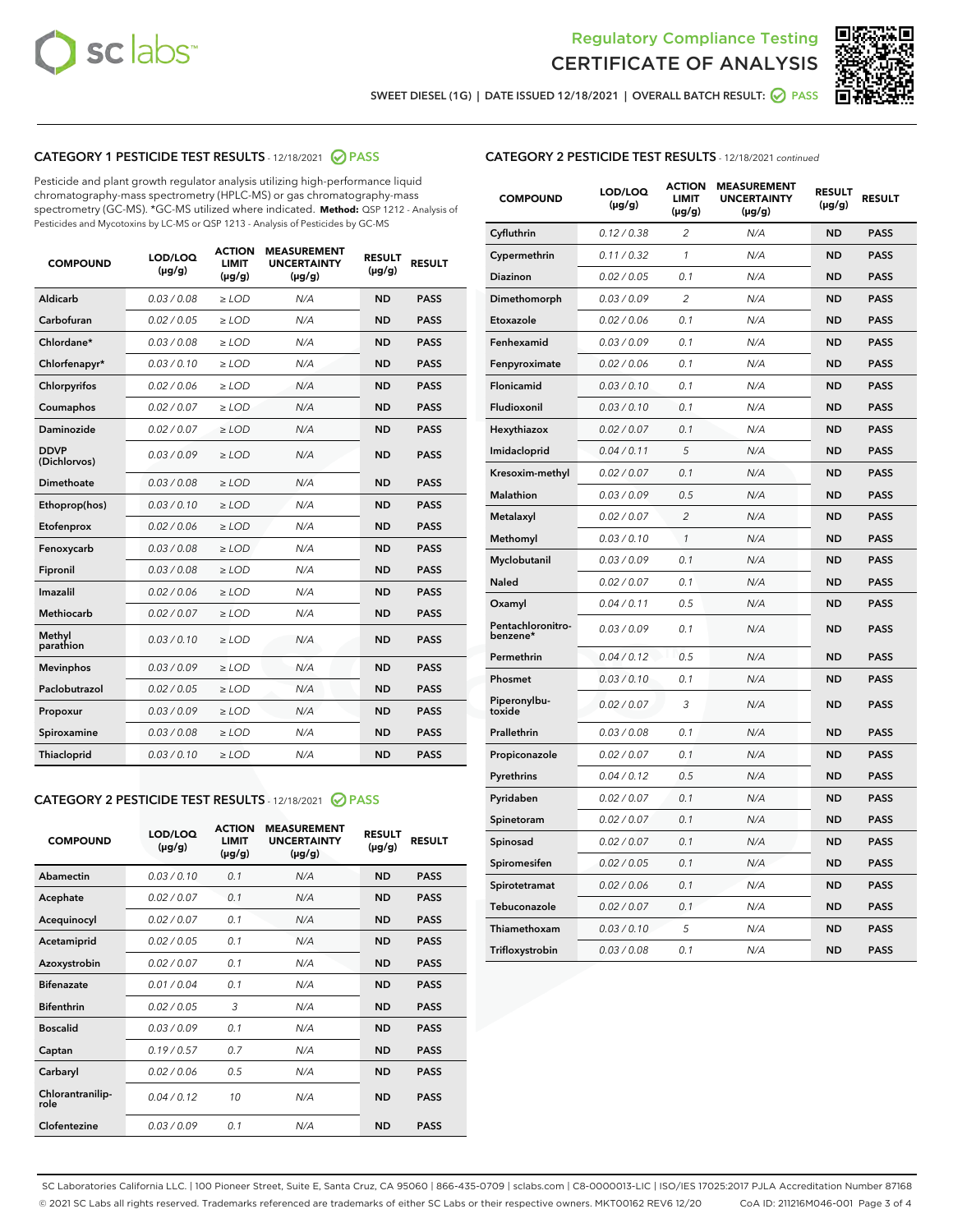



SWEET DIESEL (1G) | DATE ISSUED 12/18/2021 | OVERALL BATCH RESULT:  $\bigcirc$  PASS

# CATEGORY 1 PESTICIDE TEST RESULTS - 12/18/2021 2 PASS

Pesticide and plant growth regulator analysis utilizing high-performance liquid chromatography-mass spectrometry (HPLC-MS) or gas chromatography-mass spectrometry (GC-MS). \*GC-MS utilized where indicated. **Method:** QSP 1212 - Analysis of Pesticides and Mycotoxins by LC-MS or QSP 1213 - Analysis of Pesticides by GC-MS

| <b>COMPOUND</b>             | LOD/LOQ<br>$(\mu g/g)$ | <b>ACTION</b><br><b>LIMIT</b><br>$(\mu g/g)$ | <b>MEASUREMENT</b><br><b>UNCERTAINTY</b><br>$(\mu g/g)$ | <b>RESULT</b><br>$(\mu g/g)$ | <b>RESULT</b> |
|-----------------------------|------------------------|----------------------------------------------|---------------------------------------------------------|------------------------------|---------------|
| Aldicarb                    | 0.03 / 0.08            | $\geq$ LOD                                   | N/A                                                     | <b>ND</b>                    | <b>PASS</b>   |
| Carbofuran                  | 0.02 / 0.05            | $>$ LOD                                      | N/A                                                     | <b>ND</b>                    | <b>PASS</b>   |
| Chlordane*                  | 0.03 / 0.08            | $\ge$ LOD                                    | N/A                                                     | <b>ND</b>                    | <b>PASS</b>   |
| Chlorfenapyr*               | 0.03/0.10              | $>$ LOD                                      | N/A                                                     | <b>ND</b>                    | <b>PASS</b>   |
| Chlorpyrifos                | 0.02 / 0.06            | ≥ LOD                                        | N/A                                                     | <b>ND</b>                    | <b>PASS</b>   |
| Coumaphos                   | 0.02 / 0.07            | $\ge$ LOD                                    | N/A                                                     | <b>ND</b>                    | <b>PASS</b>   |
| Daminozide                  | 0.02 / 0.07            | $\geq$ LOD                                   | N/A                                                     | <b>ND</b>                    | <b>PASS</b>   |
| <b>DDVP</b><br>(Dichlorvos) | 0.03/0.09              | $\geq$ LOD                                   | N/A                                                     | <b>ND</b>                    | <b>PASS</b>   |
| Dimethoate                  | 0.03 / 0.08            | $>$ LOD                                      | N/A                                                     | <b>ND</b>                    | <b>PASS</b>   |
| Ethoprop(hos)               | 0.03/0.10              | $\ge$ LOD                                    | N/A                                                     | <b>ND</b>                    | <b>PASS</b>   |
| Etofenprox                  | 0.02 / 0.06            | $>$ LOD                                      | N/A                                                     | <b>ND</b>                    | <b>PASS</b>   |
| Fenoxycarb                  | 0.03 / 0.08            | $\geq$ LOD                                   | N/A                                                     | <b>ND</b>                    | <b>PASS</b>   |
| Fipronil                    | 0.03/0.08              | $>$ LOD                                      | N/A                                                     | <b>ND</b>                    | <b>PASS</b>   |
| Imazalil                    | 0.02 / 0.06            | $\geq$ LOD                                   | N/A                                                     | <b>ND</b>                    | <b>PASS</b>   |
| <b>Methiocarb</b>           | 0.02 / 0.07            | $\ge$ LOD                                    | N/A                                                     | <b>ND</b>                    | <b>PASS</b>   |
| Methyl<br>parathion         | 0.03/0.10              | $\geq$ LOD                                   | N/A                                                     | <b>ND</b>                    | <b>PASS</b>   |
| <b>Mevinphos</b>            | 0.03/0.09              | $>$ LOD                                      | N/A                                                     | <b>ND</b>                    | <b>PASS</b>   |
| Paclobutrazol               | 0.02 / 0.05            | $\geq$ LOD                                   | N/A                                                     | <b>ND</b>                    | <b>PASS</b>   |
| Propoxur                    | 0.03/0.09              | $\ge$ LOD                                    | N/A                                                     | <b>ND</b>                    | <b>PASS</b>   |
| Spiroxamine                 | 0.03 / 0.08            | $\ge$ LOD                                    | N/A                                                     | <b>ND</b>                    | <b>PASS</b>   |
| Thiacloprid                 | 0.03/0.10              | $\geq$ LOD                                   | N/A                                                     | <b>ND</b>                    | <b>PASS</b>   |

# CATEGORY 2 PESTICIDE TEST RESULTS - 12/18/2021 @ PASS

| <b>COMPOUND</b>          | LOD/LOQ<br>$(\mu g/g)$ | <b>ACTION</b><br><b>LIMIT</b><br>$(\mu g/g)$ | <b>MEASUREMENT</b><br><b>UNCERTAINTY</b><br>$(\mu g/g)$ | <b>RESULT</b><br>$(\mu g/g)$ | <b>RESULT</b> |
|--------------------------|------------------------|----------------------------------------------|---------------------------------------------------------|------------------------------|---------------|
| Abamectin                | 0.03/0.10              | 0.1                                          | N/A                                                     | <b>ND</b>                    | <b>PASS</b>   |
| Acephate                 | 0.02/0.07              | 0.1                                          | N/A                                                     | <b>ND</b>                    | <b>PASS</b>   |
| Acequinocyl              | 0.02/0.07              | 0.1                                          | N/A                                                     | <b>ND</b>                    | <b>PASS</b>   |
| Acetamiprid              | 0.02/0.05              | 0.1                                          | N/A                                                     | <b>ND</b>                    | <b>PASS</b>   |
| Azoxystrobin             | 0.02/0.07              | 0.1                                          | N/A                                                     | <b>ND</b>                    | <b>PASS</b>   |
| <b>Bifenazate</b>        | 0.01/0.04              | 0.1                                          | N/A                                                     | <b>ND</b>                    | <b>PASS</b>   |
| <b>Bifenthrin</b>        | 0.02 / 0.05            | 3                                            | N/A                                                     | <b>ND</b>                    | <b>PASS</b>   |
| <b>Boscalid</b>          | 0.03/0.09              | 0.1                                          | N/A                                                     | <b>ND</b>                    | <b>PASS</b>   |
| Captan                   | 0.19/0.57              | 0.7                                          | N/A                                                     | <b>ND</b>                    | <b>PASS</b>   |
| Carbaryl                 | 0.02/0.06              | 0.5                                          | N/A                                                     | <b>ND</b>                    | <b>PASS</b>   |
| Chlorantranilip-<br>role | 0.04/0.12              | 10                                           | N/A                                                     | <b>ND</b>                    | <b>PASS</b>   |
| Clofentezine             | 0.03/0.09              | 0.1                                          | N/A                                                     | <b>ND</b>                    | <b>PASS</b>   |

# CATEGORY 2 PESTICIDE TEST RESULTS - 12/18/2021 continued

| <b>COMPOUND</b>               | LOD/LOQ<br>$(\mu g/g)$ | <b>ACTION</b><br>LIMIT<br>$(\mu g/g)$ | <b>MEASUREMENT</b><br><b>UNCERTAINTY</b><br>(µg/g) | <b>RESULT</b><br>(µg/g) | <b>RESULT</b> |
|-------------------------------|------------------------|---------------------------------------|----------------------------------------------------|-------------------------|---------------|
| Cyfluthrin                    | 0.12 / 0.38            | 2                                     | N/A                                                | ND                      | <b>PASS</b>   |
| Cypermethrin                  | 0.11 / 0.32            | $\mathbf{1}$                          | N/A                                                | <b>ND</b>               | <b>PASS</b>   |
| <b>Diazinon</b>               | 0.02 / 0.05            | 0.1                                   | N/A                                                | ND                      | <b>PASS</b>   |
| Dimethomorph                  | 0.03 / 0.09            | 2                                     | N/A                                                | ND                      | <b>PASS</b>   |
| Etoxazole                     | 0.02 / 0.06            | 0.1                                   | N/A                                                | ND                      | <b>PASS</b>   |
| Fenhexamid                    | 0.03 / 0.09            | 0.1                                   | N/A                                                | ND                      | <b>PASS</b>   |
| Fenpyroximate                 | 0.02 / 0.06            | 0.1                                   | N/A                                                | ND                      | <b>PASS</b>   |
| Flonicamid                    | 0.03 / 0.10            | 0.1                                   | N/A                                                | <b>ND</b>               | <b>PASS</b>   |
| Fludioxonil                   | 0.03 / 0.10            | 0.1                                   | N/A                                                | ND                      | <b>PASS</b>   |
| Hexythiazox                   | 0.02 / 0.07            | 0.1                                   | N/A                                                | ND                      | <b>PASS</b>   |
| Imidacloprid                  | 0.04 / 0.11            | 5                                     | N/A                                                | <b>ND</b>               | <b>PASS</b>   |
| Kresoxim-methyl               | 0.02 / 0.07            | 0.1                                   | N/A                                                | <b>ND</b>               | <b>PASS</b>   |
| Malathion                     | 0.03 / 0.09            | 0.5                                   | N/A                                                | ND                      | <b>PASS</b>   |
| Metalaxyl                     | 0.02 / 0.07            | $\overline{c}$                        | N/A                                                | <b>ND</b>               | <b>PASS</b>   |
| Methomyl                      | 0.03 / 0.10            | 1                                     | N/A                                                | <b>ND</b>               | <b>PASS</b>   |
| Myclobutanil                  | 0.03 / 0.09            | 0.1                                   | N/A                                                | ND                      | <b>PASS</b>   |
| Naled                         | 0.02 / 0.07            | 0.1                                   | N/A                                                | ND                      | <b>PASS</b>   |
| Oxamyl                        | 0.04/0.11              | 0.5                                   | N/A                                                | ND                      | <b>PASS</b>   |
| Pentachloronitro-<br>benzene* | 0.03 / 0.09            | 0.1                                   | N/A                                                | ND                      | PASS          |
| Permethrin                    | 0.04 / 0.12            | 0.5                                   | N/A                                                | <b>ND</b>               | <b>PASS</b>   |
| Phosmet                       | 0.03/0.10              | 0.1                                   | N/A                                                | ND                      | <b>PASS</b>   |
| Piperonylbu-<br>toxide        | 0.02 / 0.07            | 3                                     | N/A                                                | ND                      | <b>PASS</b>   |
| Prallethrin                   | 0.03 / 0.08            | 0.1                                   | N/A                                                | ND                      | <b>PASS</b>   |
| Propiconazole                 | 0.02 / 0.07            | 0.1                                   | N/A                                                | ND                      | PASS          |
| Pyrethrins                    | 0.04 / 0.12            | 0.5                                   | N/A                                                | ND                      | <b>PASS</b>   |
| Pyridaben                     | 0.02 / 0.07            | 0.1                                   | N/A                                                | ND                      | PASS          |
| Spinetoram                    | 0.02 / 0.07            | 0.1                                   | N/A                                                | ND                      | PASS          |
| Spinosad                      | 0.02 / 0.07            | 0.1                                   | N/A                                                | <b>ND</b>               | <b>PASS</b>   |
| Spiromesifen                  | 0.02 / 0.05            | 0.1                                   | N/A                                                | ND                      | PASS          |
| Spirotetramat                 | 0.02 / 0.06            | 0.1                                   | N/A                                                | ND                      | <b>PASS</b>   |
| Tebuconazole                  | 0.02 / 0.07            | 0.1                                   | N/A                                                | ND                      | <b>PASS</b>   |
| Thiamethoxam                  | 0.03 / 0.10            | 5                                     | N/A                                                | ND                      | <b>PASS</b>   |
| Trifloxystrobin               | 0.03 / 0.08            | 0.1                                   | N/A                                                | <b>ND</b>               | <b>PASS</b>   |

SC Laboratories California LLC. | 100 Pioneer Street, Suite E, Santa Cruz, CA 95060 | 866-435-0709 | sclabs.com | C8-0000013-LIC | ISO/IES 17025:2017 PJLA Accreditation Number 87168 © 2021 SC Labs all rights reserved. Trademarks referenced are trademarks of either SC Labs or their respective owners. MKT00162 REV6 12/20 CoA ID: 211216M046-001 Page 3 of 4